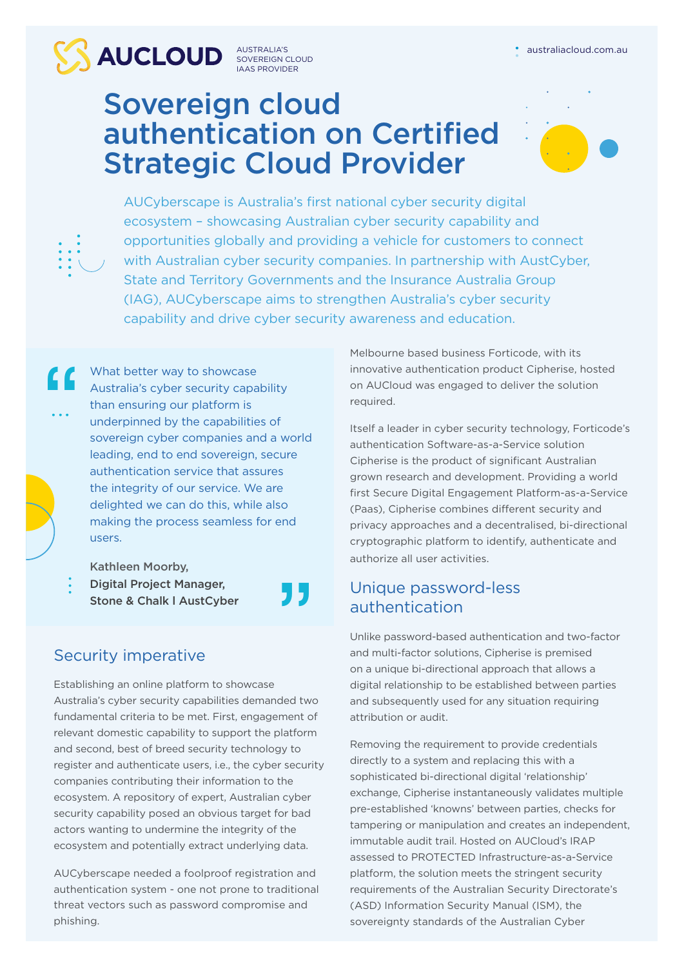AUSTRALIA'S SOVEREIGN CLOUD IAAS PROVIDER

## Sovereign cloud authentication on Certified Strategic Cloud Provider

"



AUCyberscape is Australia's first national cyber security digital ecosystem – showcasing Australian cyber security capability and opportunities globally and providing a vehicle for customers to connect with Australian cyber security companies. In partnership with AustCyber, State and Territory Governments and the Insurance Australia Group (IAG), AUCyberscape aims to strengthen Australia's cyber security capability and drive cyber security awareness and education.

What better way to showcase Australia's cyber security capability than ensuring our platform is underpinned by the capabilities of sovereign cyber companies and a world leading, end to end sovereign, secure authentication service that assures the integrity of our service. We are delighted we can do this, while also making the process seamless for end users.

Kathleen Moorby,

"

Digital Project Manager, Stone & Chalk l AustCyber

### Security imperative

Establishing an online platform to showcase Australia's cyber security capabilities demanded two fundamental criteria to be met. First, engagement of relevant domestic capability to support the platform and second, best of breed security technology to register and authenticate users, i.e., the cyber security companies contributing their information to the ecosystem. A repository of expert, Australian cyber security capability posed an obvious target for bad actors wanting to undermine the integrity of the ecosystem and potentially extract underlying data.

AUCyberscape needed a foolproof registration and authentication system - one not prone to traditional threat vectors such as password compromise and phishing.

Melbourne based business Forticode, with its innovative authentication product Cipherise, hosted on AUCloud was engaged to deliver the solution required.

Itself a leader in cyber security technology, Forticode's authentication Software-as-a-Service solution Cipherise is the product of significant Australian grown research and development. Providing a world first Secure Digital Engagement Platform-as-a-Service (Paas), Cipherise combines different security and privacy approaches and a decentralised, bi-directional cryptographic platform to identify, authenticate and authorize all user activities.

### Unique password-less authentication

Unlike password-based authentication and two-factor and multi-factor solutions, Cipherise is premised on a unique bi-directional approach that allows a digital relationship to be established between parties and subsequently used for any situation requiring attribution or audit.

Removing the requirement to provide credentials directly to a system and replacing this with a sophisticated bi-directional digital 'relationship' exchange, Cipherise instantaneously validates multiple pre-established 'knowns' between parties, checks for tampering or manipulation and creates an independent, immutable audit trail. Hosted on AUCloud's IRAP assessed to PROTECTED Infrastructure-as-a-Service platform, the solution meets the stringent security requirements of the Australian Security Directorate's (ASD) Information Security Manual (ISM), the sovereignty standards of the Australian Cyber